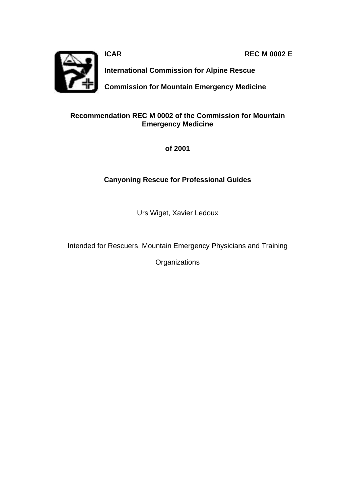**ICAR REC M 0002 E** 



**International Commission for Alpine Rescue**

**Commission for Mountain Emergency Medicine**

#### **Recommendation REC M 0002 of the Commission for Mountain Emergency Medicine**

**of 2001**

### **Canyoning Rescue for Professional Guides**

Urs Wiget, Xavier Ledoux

Intended for Rescuers, Mountain Emergency Physicians and Training

**Organizations**